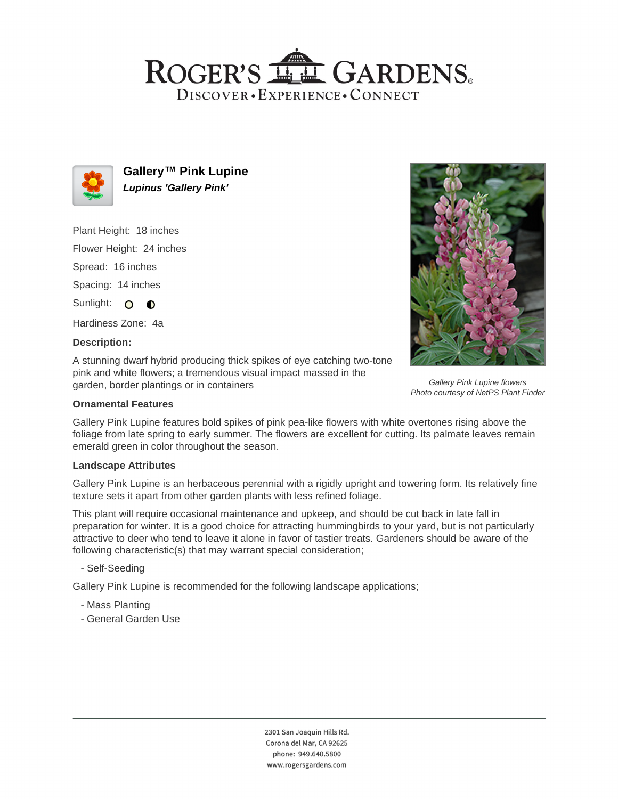## ROGER'S LL GARDENS. DISCOVER · EXPERIENCE · CONNECT



**Gallery™ Pink Lupine Lupinus 'Gallery Pink'**

Plant Height: 18 inches Flower Height: 24 inches Spread: 16 inches Spacing: 14 inches Sunlight: O O

Hardiness Zone: 4a

## **Description:**

A stunning dwarf hybrid producing thick spikes of eye catching two-tone pink and white flowers; a tremendous visual impact massed in the garden, border plantings or in containers

### **Ornamental Features**

Gallery Pink Lupine features bold spikes of pink pea-like flowers with white overtones rising above the foliage from late spring to early summer. The flowers are excellent for cutting. Its palmate leaves remain emerald green in color throughout the season.

#### **Landscape Attributes**

Gallery Pink Lupine is an herbaceous perennial with a rigidly upright and towering form. Its relatively fine texture sets it apart from other garden plants with less refined foliage.

This plant will require occasional maintenance and upkeep, and should be cut back in late fall in preparation for winter. It is a good choice for attracting hummingbirds to your yard, but is not particularly attractive to deer who tend to leave it alone in favor of tastier treats. Gardeners should be aware of the following characteristic(s) that may warrant special consideration;

- Self-Seeding

Gallery Pink Lupine is recommended for the following landscape applications;

- Mass Planting
- General Garden Use



Gallery Pink Lupine flowers Photo courtesy of NetPS Plant Finder